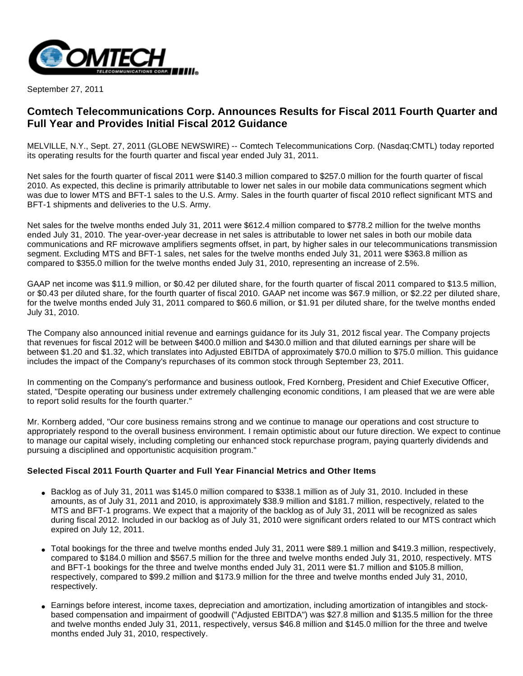

September 27, 2011

## **Comtech Telecommunications Corp. Announces Results for Fiscal 2011 Fourth Quarter and Full Year and Provides Initial Fiscal 2012 Guidance**

MELVILLE, N.Y., Sept. 27, 2011 (GLOBE NEWSWIRE) -- Comtech Telecommunications Corp. (Nasdaq:CMTL) today reported its operating results for the fourth quarter and fiscal year ended July 31, 2011.

Net sales for the fourth quarter of fiscal 2011 were \$140.3 million compared to \$257.0 million for the fourth quarter of fiscal 2010. As expected, this decline is primarily attributable to lower net sales in our mobile data communications segment which was due to lower MTS and BFT-1 sales to the U.S. Army. Sales in the fourth quarter of fiscal 2010 reflect significant MTS and BFT-1 shipments and deliveries to the U.S. Army.

Net sales for the twelve months ended July 31, 2011 were \$612.4 million compared to \$778.2 million for the twelve months ended July 31, 2010. The year-over-year decrease in net sales is attributable to lower net sales in both our mobile data communications and RF microwave amplifiers segments offset, in part, by higher sales in our telecommunications transmission segment. Excluding MTS and BFT-1 sales, net sales for the twelve months ended July 31, 2011 were \$363.8 million as compared to \$355.0 million for the twelve months ended July 31, 2010, representing an increase of 2.5%.

GAAP net income was \$11.9 million, or \$0.42 per diluted share, for the fourth quarter of fiscal 2011 compared to \$13.5 million, or \$0.43 per diluted share, for the fourth quarter of fiscal 2010. GAAP net income was \$67.9 million, or \$2.22 per diluted share, for the twelve months ended July 31, 2011 compared to \$60.6 million, or \$1.91 per diluted share, for the twelve months ended July 31, 2010.

The Company also announced initial revenue and earnings guidance for its July 31, 2012 fiscal year. The Company projects that revenues for fiscal 2012 will be between \$400.0 million and \$430.0 million and that diluted earnings per share will be between \$1.20 and \$1.32, which translates into Adjusted EBITDA of approximately \$70.0 million to \$75.0 million. This guidance includes the impact of the Company's repurchases of its common stock through September 23, 2011.

In commenting on the Company's performance and business outlook, Fred Kornberg, President and Chief Executive Officer, stated, "Despite operating our business under extremely challenging economic conditions, I am pleased that we are were able to report solid results for the fourth quarter."

Mr. Kornberg added, "Our core business remains strong and we continue to manage our operations and cost structure to appropriately respond to the overall business environment. I remain optimistic about our future direction. We expect to continue to manage our capital wisely, including completing our enhanced stock repurchase program, paying quarterly dividends and pursuing a disciplined and opportunistic acquisition program."

#### **Selected Fiscal 2011 Fourth Quarter and Full Year Financial Metrics and Other Items**

- Backlog as of July 31, 2011 was \$145.0 million compared to \$338.1 million as of July 31, 2010. Included in these amounts, as of July 31, 2011 and 2010, is approximately \$38.9 million and \$181.7 million, respectively, related to the MTS and BFT-1 programs. We expect that a majority of the backlog as of July 31, 2011 will be recognized as sales during fiscal 2012. Included in our backlog as of July 31, 2010 were significant orders related to our MTS contract which expired on July 12, 2011.
- Total bookings for the three and twelve months ended July 31, 2011 were \$89.1 million and \$419.3 million, respectively, compared to \$184.0 million and \$567.5 million for the three and twelve months ended July 31, 2010, respectively. MTS and BFT-1 bookings for the three and twelve months ended July 31, 2011 were \$1.7 million and \$105.8 million, respectively, compared to \$99.2 million and \$173.9 million for the three and twelve months ended July 31, 2010, respectively.
- Earnings before interest, income taxes, depreciation and amortization, including amortization of intangibles and stockbased compensation and impairment of goodwill ("Adjusted EBITDA") was \$27.8 million and \$135.5 million for the three and twelve months ended July 31, 2011, respectively, versus \$46.8 million and \$145.0 million for the three and twelve months ended July 31, 2010, respectively.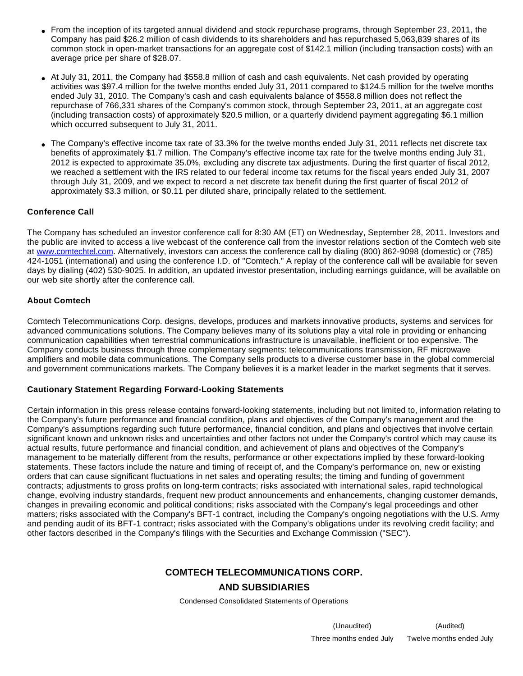- From the inception of its targeted annual dividend and stock repurchase programs, through September 23, 2011, the Company has paid \$26.2 million of cash dividends to its shareholders and has repurchased 5,063,839 shares of its common stock in open-market transactions for an aggregate cost of \$142.1 million (including transaction costs) with an average price per share of \$28.07.
- At July 31, 2011, the Company had \$558.8 million of cash and cash equivalents. Net cash provided by operating activities was \$97.4 million for the twelve months ended July 31, 2011 compared to \$124.5 million for the twelve months ended July 31, 2010. The Company's cash and cash equivalents balance of \$558.8 million does not reflect the repurchase of 766,331 shares of the Company's common stock, through September 23, 2011, at an aggregate cost (including transaction costs) of approximately \$20.5 million, or a quarterly dividend payment aggregating \$6.1 million which occurred subsequent to July 31, 2011.
- The Company's effective income tax rate of 33.3% for the twelve months ended July 31, 2011 reflects net discrete tax benefits of approximately \$1.7 million. The Company's effective income tax rate for the twelve months ending July 31, 2012 is expected to approximate 35.0%, excluding any discrete tax adjustments. During the first quarter of fiscal 2012, we reached a settlement with the IRS related to our federal income tax returns for the fiscal years ended July 31, 2007 through July 31, 2009, and we expect to record a net discrete tax benefit during the first quarter of fiscal 2012 of approximately \$3.3 million, or \$0.11 per diluted share, principally related to the settlement.

### **Conference Call**

The Company has scheduled an investor conference call for 8:30 AM (ET) on Wednesday, September 28, 2011. Investors and the public are invited to access a live webcast of the conference call from the investor relations section of the Comtech web site at [www.comtechtel.com.](http://www.comtechtel.com/) Alternatively, investors can access the conference call by dialing (800) 862-9098 (domestic) or (785) 424-1051 (international) and using the conference I.D. of "Comtech." A replay of the conference call will be available for seven days by dialing (402) 530-9025. In addition, an updated investor presentation, including earnings guidance, will be available on our web site shortly after the conference call.

### **About Comtech**

Comtech Telecommunications Corp. designs, develops, produces and markets innovative products, systems and services for advanced communications solutions. The Company believes many of its solutions play a vital role in providing or enhancing communication capabilities when terrestrial communications infrastructure is unavailable, inefficient or too expensive. The Company conducts business through three complementary segments: telecommunications transmission, RF microwave amplifiers and mobile data communications. The Company sells products to a diverse customer base in the global commercial and government communications markets. The Company believes it is a market leader in the market segments that it serves.

### **Cautionary Statement Regarding Forward-Looking Statements**

Certain information in this press release contains forward-looking statements, including but not limited to, information relating to the Company's future performance and financial condition, plans and objectives of the Company's management and the Company's assumptions regarding such future performance, financial condition, and plans and objectives that involve certain significant known and unknown risks and uncertainties and other factors not under the Company's control which may cause its actual results, future performance and financial condition, and achievement of plans and objectives of the Company's management to be materially different from the results, performance or other expectations implied by these forward-looking statements. These factors include the nature and timing of receipt of, and the Company's performance on, new or existing orders that can cause significant fluctuations in net sales and operating results; the timing and funding of government contracts; adjustments to gross profits on long-term contracts; risks associated with international sales, rapid technological change, evolving industry standards, frequent new product announcements and enhancements, changing customer demands, changes in prevailing economic and political conditions; risks associated with the Company's legal proceedings and other matters; risks associated with the Company's BFT-1 contract, including the Company's ongoing negotiations with the U.S. Army and pending audit of its BFT-1 contract; risks associated with the Company's obligations under its revolving credit facility; and other factors described in the Company's filings with the Securities and Exchange Commission ("SEC").

## **COMTECH TELECOMMUNICATIONS CORP.**

## **AND SUBSIDIARIES**

Condensed Consolidated Statements of Operations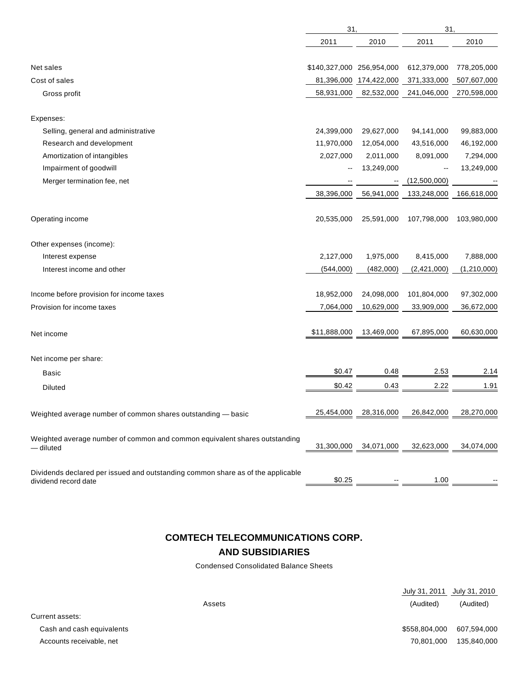|                                                                                                         | 31                        |                        | 31.          |               |
|---------------------------------------------------------------------------------------------------------|---------------------------|------------------------|--------------|---------------|
|                                                                                                         | 2011                      | 2010                   | 2011         | 2010          |
|                                                                                                         |                           |                        |              |               |
| Net sales                                                                                               | \$140,327,000 256,954,000 |                        | 612,379,000  | 778,205,000   |
| Cost of sales                                                                                           |                           | 81,396,000 174,422,000 | 371,333,000  | 507,607,000   |
| Gross profit                                                                                            | 58,931,000                | 82,532,000             | 241,046,000  | 270,598,000   |
| Expenses:                                                                                               |                           |                        |              |               |
| Selling, general and administrative                                                                     | 24,399,000                | 29,627,000             | 94,141,000   | 99,883,000    |
| Research and development                                                                                | 11,970,000                | 12,054,000             | 43,516,000   | 46,192,000    |
| Amortization of intangibles                                                                             | 2,027,000                 | 2,011,000              | 8,091,000    | 7,294,000     |
| Impairment of goodwill                                                                                  | $\overline{\phantom{a}}$  | 13,249,000             | --           | 13,249,000    |
| Merger termination fee, net                                                                             |                           | --                     | (12,500,000) |               |
|                                                                                                         | 38,396,000                | 56,941,000             | 133,248,000  | 166,618,000   |
| Operating income                                                                                        | 20,535,000                | 25,591,000             | 107,798,000  | 103,980,000   |
| Other expenses (income):                                                                                |                           |                        |              |               |
| Interest expense                                                                                        | 2,127,000                 | 1,975,000              | 8,415,000    | 7,888,000     |
| Interest income and other                                                                               | (544,000)                 | (482,000)              | (2,421,000)  | (1, 210, 000) |
| Income before provision for income taxes                                                                | 18,952,000                | 24,098,000             | 101,804,000  | 97,302,000    |
| Provision for income taxes                                                                              | 7,064,000                 | 10,629,000             | 33,909,000   | 36,672,000    |
| Net income                                                                                              | \$11,888,000              | 13,469,000             | 67,895,000   | 60,630,000    |
| Net income per share:                                                                                   |                           |                        |              |               |
| <b>Basic</b>                                                                                            | \$0.47                    | 0.48                   | 2.53         | 2.14          |
| Diluted                                                                                                 | \$0.42                    | 0.43                   | 2.22         | 1.91          |
| Weighted average number of common shares outstanding - basic                                            | 25,454,000                | 28,316,000             | 26,842,000   | 28,270,000    |
| Weighted average number of common and common equivalent shares outstanding<br>- diluted                 | 31,300,000                | 34,071,000             | 32,623,000   | 34,074,000    |
| Dividends declared per issued and outstanding common share as of the applicable<br>dividend record date | \$0.25                    |                        | 1.00         |               |

# **COMTECH TELECOMMUNICATIONS CORP. AND SUBSIDIARIES**

Condensed Consolidated Balance Sheets

|                           |        |               | July 31, 2011 July 31, 2010 |
|---------------------------|--------|---------------|-----------------------------|
|                           | Assets | (Audited)     | (Audited)                   |
| Current assets:           |        |               |                             |
| Cash and cash equivalents |        | \$558,804,000 | 607,594,000                 |
| Accounts receivable, net  |        | 70,801,000    | 135,840,000                 |
|                           |        |               |                             |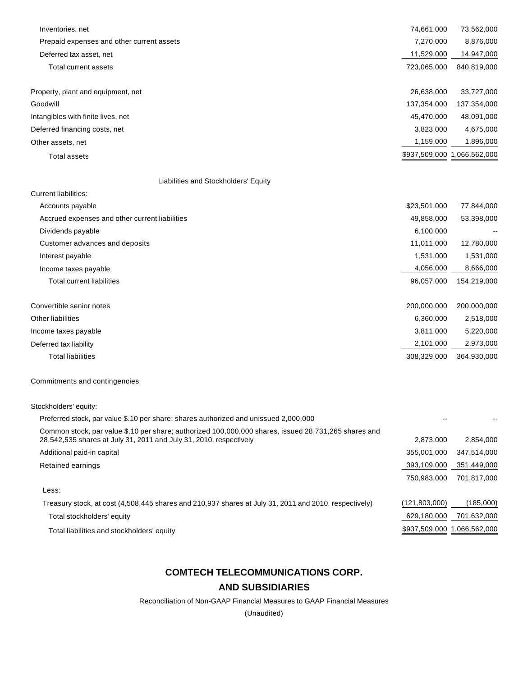| Inventories, net                                                                                                                                                           | 74,661,000      | 73,562,000                  |
|----------------------------------------------------------------------------------------------------------------------------------------------------------------------------|-----------------|-----------------------------|
| Prepaid expenses and other current assets                                                                                                                                  | 7,270,000       | 8,876,000                   |
| Deferred tax asset, net                                                                                                                                                    | 11,529,000      | 14,947,000                  |
| <b>Total current assets</b>                                                                                                                                                | 723,065,000     | 840,819,000                 |
| Property, plant and equipment, net                                                                                                                                         | 26,638,000      | 33,727,000                  |
| Goodwill                                                                                                                                                                   | 137,354,000     | 137,354,000                 |
| Intangibles with finite lives, net                                                                                                                                         | 45,470,000      | 48,091,000                  |
| Deferred financing costs, net                                                                                                                                              | 3,823,000       | 4,675,000                   |
| Other assets, net                                                                                                                                                          | 1,159,000       | 1,896,000                   |
| <b>Total assets</b>                                                                                                                                                        |                 | \$937,509,000 1,066,562,000 |
| Liabilities and Stockholders' Equity                                                                                                                                       |                 |                             |
| <b>Current liabilities:</b>                                                                                                                                                |                 |                             |
| Accounts payable                                                                                                                                                           | \$23,501,000    | 77,844,000                  |
| Accrued expenses and other current liabilities                                                                                                                             | 49,858,000      | 53,398,000                  |
| Dividends payable                                                                                                                                                          | 6,100,000       |                             |
| Customer advances and deposits                                                                                                                                             | 11,011,000      | 12,780,000                  |
| Interest payable                                                                                                                                                           | 1,531,000       | 1,531,000                   |
| Income taxes payable                                                                                                                                                       | 4,056,000       | 8,666,000                   |
| <b>Total current liabilities</b>                                                                                                                                           | 96,057,000      | 154,219,000                 |
| Convertible senior notes                                                                                                                                                   | 200,000,000     | 200,000,000                 |
| Other liabilities                                                                                                                                                          | 6,360,000       | 2,518,000                   |
| Income taxes payable                                                                                                                                                       | 3,811,000       | 5,220,000                   |
| Deferred tax liability                                                                                                                                                     | 2,101,000       | 2,973,000                   |
| <b>Total liabilities</b>                                                                                                                                                   | 308,329,000     | 364,930,000                 |
| Commitments and contingencies                                                                                                                                              |                 |                             |
| Stockholders' equity:                                                                                                                                                      |                 |                             |
| Preferred stock, par value \$.10 per share; shares authorized and unissued 2,000,000                                                                                       |                 |                             |
| Common stock, par value \$.10 per share; authorized 100,000,000 shares, issued 28,731,265 shares and<br>28,542,535 shares at July 31, 2011 and July 31, 2010, respectively | 2,873,000       | 2,854,000                   |
| Additional paid-in capital                                                                                                                                                 | 355,001,000     | 347,514,000                 |
| Retained earnings                                                                                                                                                          | 393,109,000     | 351,449,000                 |
|                                                                                                                                                                            | 750,983,000     | 701,817,000                 |
| Less:                                                                                                                                                                      |                 |                             |
| Treasury stock, at cost (4,508,445 shares and 210,937 shares at July 31, 2011 and 2010, respectively)                                                                      | (121, 803, 000) | (185,000)                   |
| Total stockholders' equity                                                                                                                                                 | 629,180,000     | 701,632,000                 |
| Total liabilities and stockholders' equity                                                                                                                                 |                 | \$937,509,000 1,066,562,000 |

## **COMTECH TELECOMMUNICATIONS CORP.**

## **AND SUBSIDIARIES**

Reconciliation of Non-GAAP Financial Measures to GAAP Financial Measures

(Unaudited)